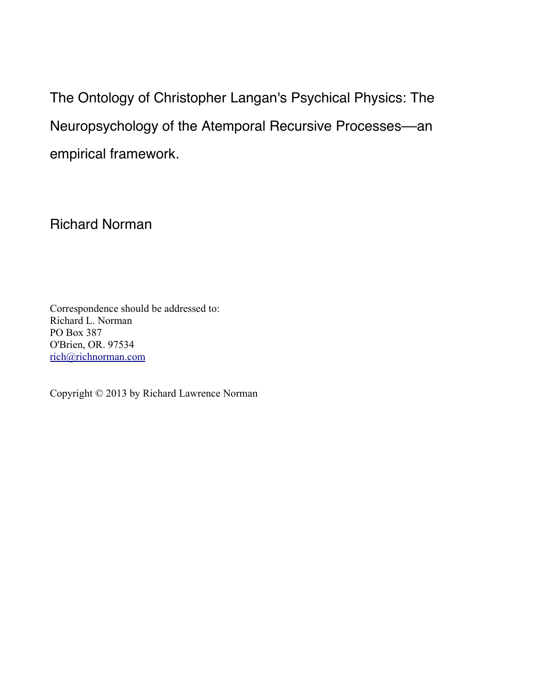The Ontology of Christopher Langan's Psychical Physics: The Neuropsychology of the Atemporal Recursive Processes––an empirical framework.

Richard Norman

Correspondence should be addressed to: Richard L. Norman PO Box 387 O'Brien, OR. 97534 [rich@richnorman.com](mailto:rich@richnorman.com)

Copyright © 2013 by Richard Lawrence Norman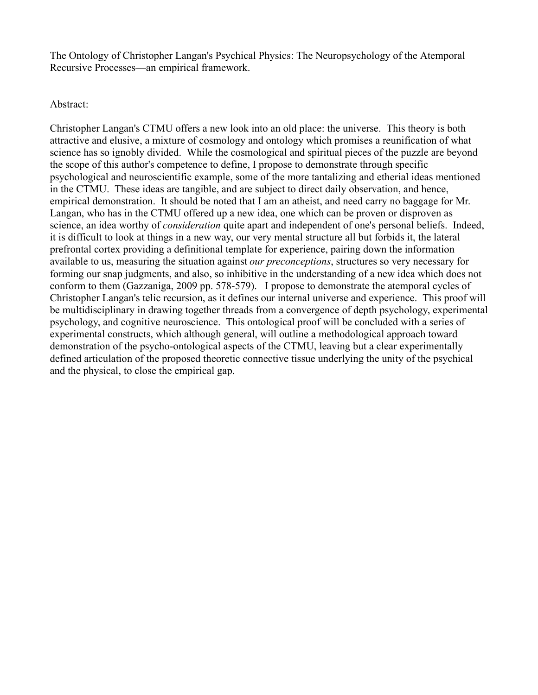The Ontology of Christopher Langan's Psychical Physics: The Neuropsychology of the Atemporal Recursive Processes––an empirical framework.

# Abstract:

Christopher Langan's CTMU offers a new look into an old place: the universe. This theory is both attractive and elusive, a mixture of cosmology and ontology which promises a reunification of what science has so ignobly divided. While the cosmological and spiritual pieces of the puzzle are beyond the scope of this author's competence to define, I propose to demonstrate through specific psychological and neuroscientific example, some of the more tantalizing and etherial ideas mentioned in the CTMU. These ideas are tangible, and are subject to direct daily observation, and hence, empirical demonstration. It should be noted that I am an atheist, and need carry no baggage for Mr. Langan, who has in the CTMU offered up a new idea, one which can be proven or disproven as science, an idea worthy of *consideration* quite apart and independent of one's personal beliefs. Indeed, it is difficult to look at things in a new way, our very mental structure all but forbids it, the lateral prefrontal cortex providing a definitional template for experience, pairing down the information available to us, measuring the situation against *our preconceptions*, structures so very necessary for forming our snap judgments, and also, so inhibitive in the understanding of a new idea which does not conform to them (Gazzaniga, 2009 pp. 578-579). I propose to demonstrate the atemporal cycles of Christopher Langan's telic recursion, as it defines our internal universe and experience. This proof will be multidisciplinary in drawing together threads from a convergence of depth psychology, experimental psychology, and cognitive neuroscience. This ontological proof will be concluded with a series of experimental constructs, which although general, will outline a methodological approach toward demonstration of the psycho-ontological aspects of the CTMU, leaving but a clear experimentally defined articulation of the proposed theoretic connective tissue underlying the unity of the psychical and the physical, to close the empirical gap.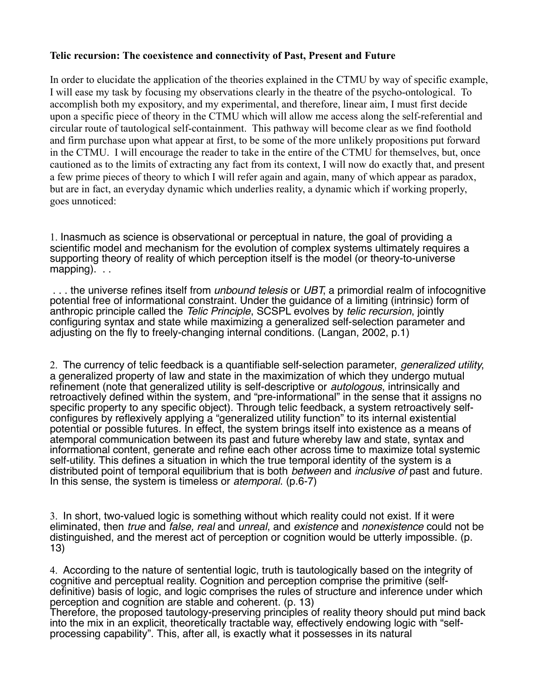### **Telic recursion: The coexistence and connectivity of Past, Present and Future**

In order to elucidate the application of the theories explained in the CTMU by way of specific example, I will ease my task by focusing my observations clearly in the theatre of the psycho-ontological. To accomplish both my expository, and my experimental, and therefore, linear aim, I must first decide upon a specific piece of theory in the CTMU which will allow me access along the self-referential and circular route of tautological self-containment. This pathway will become clear as we find foothold and firm purchase upon what appear at first, to be some of the more unlikely propositions put forward in the CTMU. I will encourage the reader to take in the entire of the CTMU for themselves, but, once cautioned as to the limits of extracting any fact from its context, I will now do exactly that, and present a few prime pieces of theory to which I will refer again and again, many of which appear as paradox, but are in fact, an everyday dynamic which underlies reality, a dynamic which if working properly, goes unnoticed:

1. Inasmuch as science is observational or perceptual in nature, the goal of providing a scientific model and mechanism for the evolution of complex systems ultimately requires a supporting theory of reality of which perception itself is the model (or theory-to-universe mapping). . .

 . . . the universe refines itself from *unbound telesis* or *UBT*, a primordial realm of infocognitive potential free of informational constraint. Under the guidance of a limiting (intrinsic) form of anthropic principle called the *Telic Principle*, SCSPL evolves by *telic recursion*, jointly configuring syntax and state while maximizing a generalized self-selection parameter and adjusting on the fly to freely-changing internal conditions. (Langan, 2002, p.1)

2. The currency of telic feedback is a quantifiable self-selection parameter, *generalized utility*, a generalized property of law and state in the maximization of which they undergo mutual refinement (note that generalized utility is self-descriptive or *autologous*, intrinsically and retroactively defined within the system, and "pre-informational" in the sense that it assigns no specific property to any specific object). Through telic feedback, a system retroactively selfconfigures by reflexively applying a "generalized utility function" to its internal existential potential or possible futures. In effect, the system brings itself into existence as a means of atemporal communication between its past and future whereby law and state, syntax and informational content, generate and refine each other across time to maximize total systemic self-utility. This defines a situation in which the true temporal identity of the system is a distributed point of temporal equilibrium that is both *between* and *inclusive of* past and future. In this sense, the system is timeless or *atemporal*. (p.6-7)

3. In short, two-valued logic is something without which reality could not exist. If it were eliminated, then *true* and *false, real* and *unreal*, and *existence* and *nonexistence* could not be distinguished, and the merest act of perception or cognition would be utterly impossible. (p. 13)

4. According to the nature of sentential logic, truth is tautologically based on the integrity of cognitive and perceptual reality. Cognition and perception comprise the primitive (selfdefinitive) basis of logic, and logic comprises the rules of structure and inference under which perception and cognition are stable and coherent. (p. 13)

Therefore, the proposed tautology-preserving principles of reality theory should put mind back into the mix in an explicit, theoretically tractable way, effectively endowing logic with "selfprocessing capability". This, after all, is exactly what it possesses in its natural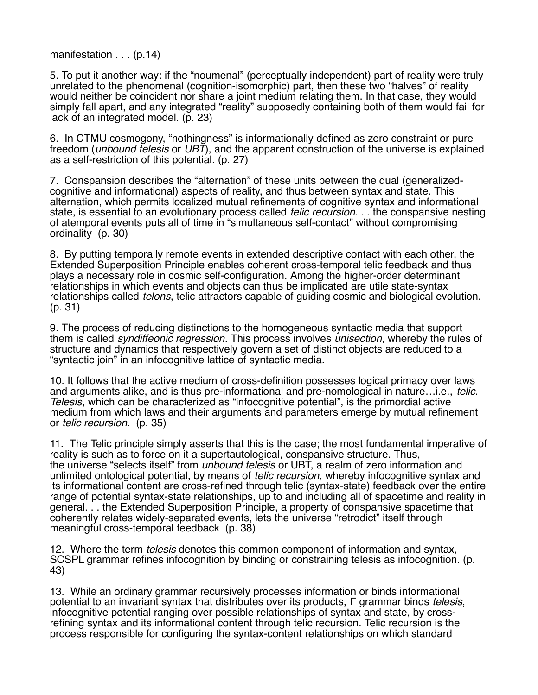manifestation . . . (p.14)

5. To put it another way: if the "noumenal" (perceptually independent) part of reality were truly unrelated to the phenomenal (cognition-isomorphic) part, then these two "halves" of reality would neither be coincident nor share a joint medium relating them. In that case, they would simply fall apart, and any integrated "reality" supposedly containing both of them would fail for lack of an integrated model. (p. 23)

6. In CTMU cosmogony, "nothingness" is informationally defined as zero constraint or pure freedom (*unbound telesis* or *UBT*), and the apparent construction of the universe is explained as a self-restriction of this potential. (p. 27)

7. Conspansion describes the "alternation" of these units between the dual (generalizedcognitive and informational) aspects of reality, and thus between syntax and state. This alternation, which permits localized mutual refinements of cognitive syntax and informational state, is essential to an evolutionary process called *telic recursion*. . . the conspansive nesting of atemporal events puts all of time in "simultaneous self-contact" without compromising ordinality (p. 30)

8. By putting temporally remote events in extended descriptive contact with each other, the Extended Superposition Principle enables coherent cross-temporal telic feedback and thus plays a necessary role in cosmic self-configuration. Among the higher-order determinant relationships in which events and objects can thus be implicated are utile state-syntax relationships called *telons*, telic attractors capable of guiding cosmic and biological evolution. (p. 31)

9. The process of reducing distinctions to the homogeneous syntactic media that support them is called *syndiffeonic regression*. This process involves *unisection*, whereby the rules of structure and dynamics that respectively govern a set of distinct objects are reduced to a "syntactic join" in an infocognitive lattice of syntactic media.

10. It follows that the active medium of cross-definition possesses logical primacy over laws and arguments alike, and is thus pre-informational and pre-nomological in nature…i.e., *telic*. *Telesis*, which can be characterized as "infocognitive potential", is the primordial active medium from which laws and their arguments and parameters emerge by mutual refinement or *telic recursion*. (p. 35)

11. The Telic principle simply asserts that this is the case; the most fundamental imperative of reality is such as to force on it a supertautological, conspansive structure. Thus, the universe "selects itself" from *unbound telesis* or UBT, a realm of zero information and unlimited ontological potential, by means of *telic recursion*, whereby infocognitive syntax and its informational content are cross-refined through telic (syntax-state) feedback over the entire range of potential syntax-state relationships, up to and including all of spacetime and reality in general. . . the Extended Superposition Principle, a property of conspansive spacetime that coherently relates widely-separated events, lets the universe "retrodict" itself through meaningful cross-temporal feedback (p. 38)

12. Where the term *telesis* denotes this common component of information and syntax, SCSPL grammar refines infocognition by binding or constraining telesis as infocognition. (p. 43)

13. While an ordinary grammar recursively processes information or binds informational potential to an invariant syntax that distributes over its products, Γ grammar binds *telesis*, infocognitive potential ranging over possible relationships of syntax and state, by crossrefining syntax and its informational content through telic recursion. Telic recursion is the process responsible for configuring the syntax-content relationships on which standard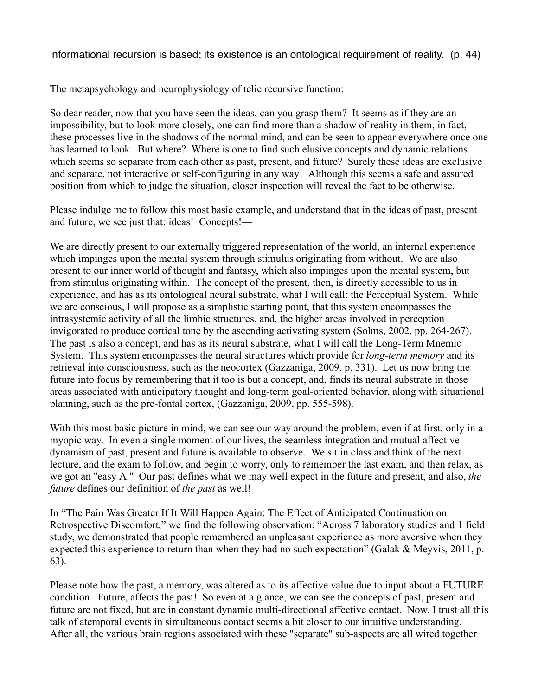informational recursion is based; its existence is an ontological requirement of reality. (p. 44)

The metapsychology and neurophysiology of telic recursive function:

So dear reader, now that you have seen the ideas, can you grasp them? It seems as if they are an impossibility, but to look more closely, one can find more than a shadow of reality in them, in fact, these processes live in the shadows of the normal mind, and can be seen to appear everywhere once one has learned to look. But where? Where is one to find such elusive concepts and dynamic relations which seems so separate from each other as past, present, and future? Surely these ideas are exclusive and separate, not interactive or self-configuring in any way! Although this seems a safe and assured position from which to judge the situation, closer inspection will reveal the fact to be otherwise.

Please indulge me to follow this most basic example, and understand that in the ideas of past, present and future, we see just that: ideas! Concepts!––

We are directly present to our externally triggered representation of the world, an internal experience which impinges upon the mental system through stimulus originating from without. We are also present to our inner world of thought and fantasy, which also impinges upon the mental system, but from stimulus originating within. The concept of the present, then, is directly accessible to us in experience, and has as its ontological neural substrate, what I will call: the Perceptual System. While we are conscious, I will propose as a simplistic starting point, that this system encompasses the intrasystemic activity of all the limbic structures, and, the higher areas involved in perception invigorated to produce cortical tone by the ascending activating system (Solms, 2002, pp. 264-267). The past is also a concept, and has as its neural substrate, what I will call the Long-Term Mnemic System. This system encompasses the neural structures which provide for *long-term memory* and its retrieval into consciousness, such as the neocortex (Gazzaniga, 2009, p. 331). Let us now bring the future into focus by remembering that it too is but a concept, and, finds its neural substrate in those areas associated with anticipatory thought and long-term goal-oriented behavior, along with situational planning, such as the pre-fontal cortex, (Gazzaniga, 2009, pp. 555-598).

With this most basic picture in mind, we can see our way around the problem, even if at first, only in a myopic way. In even a single moment of our lives, the seamless integration and mutual affective dynamism of past, present and future is available to observe. We sit in class and think of the next lecture, and the exam to follow, and begin to worry, only to remember the last exam, and then relax, as we got an "easy A." Our past defines what we may well expect in the future and present, and also, *the future* defines our definition of *the past* as well!

In "The Pain Was Greater If It Will Happen Again: The Effect of Anticipated Continuation on Retrospective Discomfort," we find the following observation: "Across 7 laboratory studies and 1 field study, we demonstrated that people remembered an unpleasant experience as more aversive when they expected this experience to return than when they had no such expectation" (Galak & Meyvis, 2011, p. 63).

Please note how the past, a memory, was altered as to its affective value due to input about a FUTURE condition. Future, affects the past! So even at a glance, we can see the concepts of past, present and future are not fixed, but are in constant dynamic multi-directional affective contact. Now, I trust all this talk of atemporal events in simultaneous contact seems a bit closer to our intuitive understanding. After all, the various brain regions associated with these "separate" sub-aspects are all wired together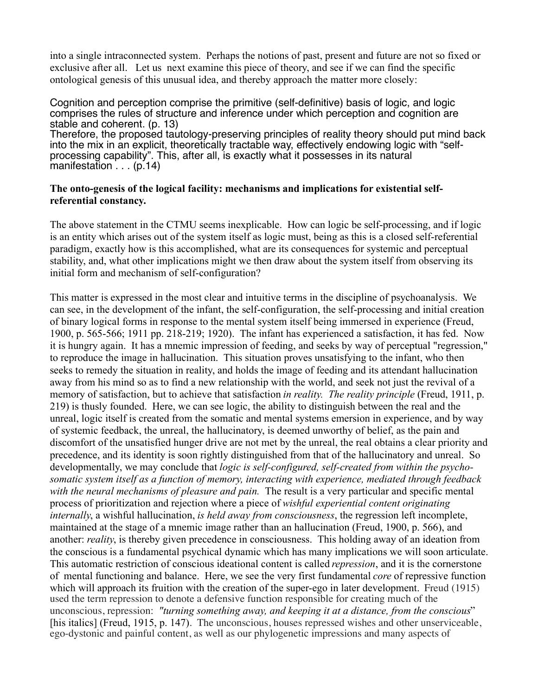into a single intraconnected system. Perhaps the notions of past, present and future are not so fixed or exclusive after all. Let us next examine this piece of theory, and see if we can find the specific ontological genesis of this unusual idea, and thereby approach the matter more closely:

Cognition and perception comprise the primitive (self-definitive) basis of logic, and logic comprises the rules of structure and inference under which perception and cognition are stable and coherent. (p. 13) Therefore, the proposed tautology-preserving principles of reality theory should put mind back into the mix in an explicit, theoretically tractable way, effectively endowing logic with "selfprocessing capability". This, after all, is exactly what it possesses in its natural

manifestation . . . (p.14)

# **The onto-genesis of the logical facility: mechanisms and implications for existential selfreferential constancy.**

The above statement in the CTMU seems inexplicable. How can logic be self-processing, and if logic is an entity which arises out of the system itself as logic must, being as this is a closed self-referential paradigm, exactly how is this accomplished, what are its consequences for systemic and perceptual stability, and, what other implications might we then draw about the system itself from observing its initial form and mechanism of self-configuration?

This matter is expressed in the most clear and intuitive terms in the discipline of psychoanalysis. We can see, in the development of the infant, the self-configuration, the self-processing and initial creation of binary logical forms in response to the mental system itself being immersed in experience (Freud, 1900, p. 565-566; 1911 pp. 218-219; 1920). The infant has experienced a satisfaction, it has fed. Now it is hungry again. It has a mnemic impression of feeding, and seeks by way of perceptual "regression," to reproduce the image in hallucination. This situation proves unsatisfying to the infant, who then seeks to remedy the situation in reality, and holds the image of feeding and its attendant hallucination away from his mind so as to find a new relationship with the world, and seek not just the revival of a memory of satisfaction, but to achieve that satisfaction *in reality. The reality principle* (Freud, 1911, p. 219) is thusly founded. Here, we can see logic, the ability to distinguish between the real and the unreal, logic itself is created from the somatic and mental systems emersion in experience, and by way of systemic feedback, the unreal, the hallucinatory, is deemed unworthy of belief, as the pain and discomfort of the unsatisfied hunger drive are not met by the unreal, the real obtains a clear priority and precedence, and its identity is soon rightly distinguished from that of the hallucinatory and unreal. So developmentally, we may conclude that *logic is self-configured, self-created from within the psychosomatic system itself as a function of memory, interacting with experience, mediated through feedback with the neural mechanisms of pleasure and pain.* The result is a very particular and specific mental process of prioritization and rejection where a piece of *wishful experiential content originating internally*, a wishful hallucination, *is held away from consciousness*, the regression left incomplete, maintained at the stage of a mnemic image rather than an hallucination (Freud, 1900, p. 566), and another: *reality*, is thereby given precedence in consciousness. This holding away of an ideation from the conscious is a fundamental psychical dynamic which has many implications we will soon articulate. This automatic restriction of conscious ideational content is called *repression*, and it is the cornerstone of mental functioning and balance. Here, we see the very first fundamental *core* of repressive function which will approach its fruition with the creation of the super-ego in later development. Freud (1915) used the term repression to denote a defensive function responsible for creating much of the unconscious, repression: *"turning something away, and keeping it at a distance, from the conscious*" [his italics] (Freud, 1915, p. 147). The unconscious, houses repressed wishes and other unserviceable, ego-dystonic and painful content, as well as our phylogenetic impressions and many aspects of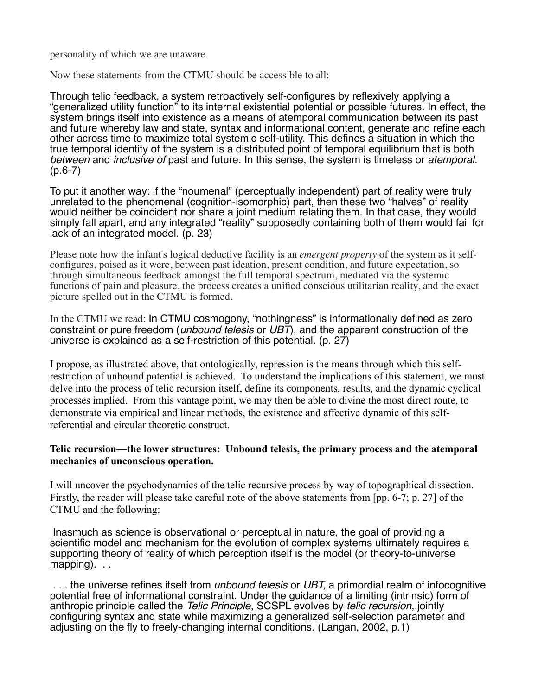personality of which we are unaware.

Now these statements from the CTMU should be accessible to all:

Through telic feedback, a system retroactively self-configures by reflexively applying a "generalized utility function" to its internal existential potential or possible futures. In effect, the system brings itself into existence as a means of atemporal communication between its past and future whereby law and state, syntax and informational content, generate and refine each other across time to maximize total systemic self-utility. This defines a situation in which the true temporal identity of the system is a distributed point of temporal equilibrium that is both *between* and *inclusive of* past and future. In this sense, the system is timeless or *atemporal*. (p.6-7)

To put it another way: if the "noumenal" (perceptually independent) part of reality were truly unrelated to the phenomenal (cognition-isomorphic) part, then these two "halves" of reality would neither be coincident nor share a joint medium relating them. In that case, they would simply fall apart, and any integrated "reality" supposedly containing both of them would fail for lack of an integrated model. (p. 23)

Please note how the infant's logical deductive facility is an *emergent property* of the system as it selfconfigures, poised as it were, between past ideation, present condition, and future expectation, so through simultaneous feedback amongst the full temporal spectrum, mediated via the systemic functions of pain and pleasure, the process creates a unified conscious utilitarian reality, and the exact picture spelled out in the CTMU is formed.

In the CTMU we read: In CTMU cosmogony, "nothingness" is informationally defined as zero constraint or pure freedom (*unbound telesis* or *UBT*), and the apparent construction of the universe is explained as a self-restriction of this potential. (p. 27)

I propose, as illustrated above, that ontologically, repression is the means through which this selfrestriction of unbound potential is achieved. To understand the implications of this statement, we must delve into the process of telic recursion itself, define its components, results, and the dynamic cyclical processes implied. From this vantage point, we may then be able to divine the most direct route, to demonstrate via empirical and linear methods, the existence and affective dynamic of this selfreferential and circular theoretic construct.

# **Telic recursion––the lower structures: Unbound telesis, the primary process and the atemporal mechanics of unconscious operation.**

I will uncover the psychodynamics of the telic recursive process by way of topographical dissection. Firstly, the reader will please take careful note of the above statements from [pp. 6-7; p. 27] of the CTMU and the following:

 Inasmuch as science is observational or perceptual in nature, the goal of providing a scientific model and mechanism for the evolution of complex systems ultimately requires a supporting theory of reality of which perception itself is the model (or theory-to-universe mapping). . .

 . . . the universe refines itself from *unbound telesis* or *UBT*, a primordial realm of infocognitive potential free of informational constraint. Under the guidance of a limiting (intrinsic) form of anthropic principle called the *Telic Principle*, SCSPL evolves by *telic recursion*, jointly configuring syntax and state while maximizing a generalized self-selection parameter and adjusting on the fly to freely-changing internal conditions. (Langan, 2002, p.1)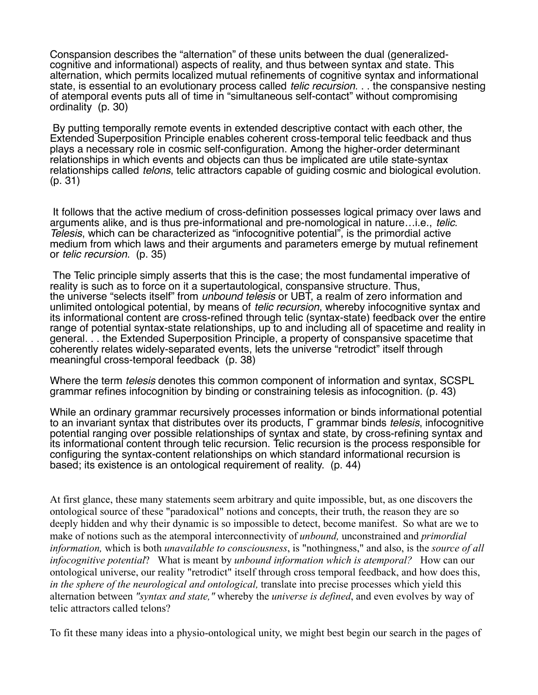Conspansion describes the "alternation" of these units between the dual (generalizedcognitive and informational) aspects of reality, and thus between syntax and state. This alternation, which permits localized mutual refinements of cognitive syntax and informational state, is essential to an evolutionary process called *telic recursion*. . . the conspansive nesting of atemporal events puts all of time in "simultaneous self-contact" without compromising ordinality (p. 30)

 By putting temporally remote events in extended descriptive contact with each other, the Extended Superposition Principle enables coherent cross-temporal telic feedback and thus plays a necessary role in cosmic self-configuration. Among the higher-order determinant relationships in which events and objects can thus be implicated are utile state-syntax relationships called *telons*, telic attractors capable of guiding cosmic and biological evolution. (p. 31)

 It follows that the active medium of cross-definition possesses logical primacy over laws and arguments alike, and is thus pre-informational and pre-nomological in nature…i.e., *telic*. *Telesis*, which can be characterized as "infocognitive potential", is the primordial active medium from which laws and their arguments and parameters emerge by mutual refinement or *telic recursion*. (p. 35)

 The Telic principle simply asserts that this is the case; the most fundamental imperative of reality is such as to force on it a supertautological, conspansive structure. Thus, the universe "selects itself" from *unbound telesis* or UBT, a realm of zero information and unlimited ontological potential, by means of *telic recursion*, whereby infocognitive syntax and its informational content are cross-refined through telic (syntax-state) feedback over the entire range of potential syntax-state relationships, up to and including all of spacetime and reality in general. . . the Extended Superposition Principle, a property of conspansive spacetime that coherently relates widely-separated events, lets the universe "retrodict" itself through meaningful cross-temporal feedback (p. 38)

Where the term *telesis* denotes this common component of information and syntax, SCSPL grammar refines infocognition by binding or constraining telesis as infocognition. (p. 43)

While an ordinary grammar recursively processes information or binds informational potential to an invariant syntax that distributes over its products, Γ grammar binds *telesis*, infocognitive potential ranging over possible relationships of syntax and state, by cross-refining syntax and its informational content through telic recursion. Telic recursion is the process responsible for configuring the syntax-content relationships on which standard informational recursion is based; its existence is an ontological requirement of reality. (p. 44)

At first glance, these many statements seem arbitrary and quite impossible, but, as one discovers the ontological source of these "paradoxical" notions and concepts, their truth, the reason they are so deeply hidden and why their dynamic is so impossible to detect, become manifest. So what are we to make of notions such as the atemporal interconnectivity of *unbound,* unconstrained and *primordial information,* which is both *unavailable to consciousness*, is "nothingness," and also, is the *source of all infocognitive potential*? What is meant by *unbound information which is atemporal?* How can our ontological universe, our reality "retrodict" itself through cross temporal feedback, and how does this, *in the sphere of the neurological and ontological,* translate into precise processes which yield this alternation between *"syntax and state,"* whereby the *universe is defined*, and even evolves by way of telic attractors called telons?

To fit these many ideas into a physio-ontological unity, we might best begin our search in the pages of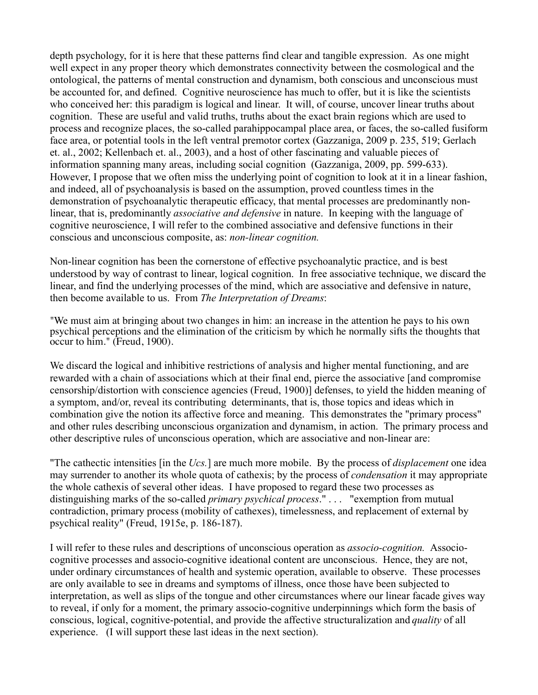depth psychology, for it is here that these patterns find clear and tangible expression. As one might well expect in any proper theory which demonstrates connectivity between the cosmological and the ontological, the patterns of mental construction and dynamism, both conscious and unconscious must be accounted for, and defined. Cognitive neuroscience has much to offer, but it is like the scientists who conceived her: this paradigm is logical and linear. It will, of course, uncover linear truths about cognition. These are useful and valid truths, truths about the exact brain regions which are used to process and recognize places, the so-called parahippocampal place area, or faces, the so-called fusiform face area, or potential tools in the left ventral premotor cortex (Gazzaniga, 2009 p. 235, 519; Gerlach et. al., 2002; Kellenbach et. al., 2003), and a host of other fascinating and valuable pieces of information spanning many areas, including social cognition (Gazzaniga, 2009, pp. 599-633). However, I propose that we often miss the underlying point of cognition to look at it in a linear fashion, and indeed, all of psychoanalysis is based on the assumption, proved countless times in the demonstration of psychoanalytic therapeutic efficacy, that mental processes are predominantly nonlinear, that is, predominantly *associative and defensive* in nature. In keeping with the language of cognitive neuroscience, I will refer to the combined associative and defensive functions in their conscious and unconscious composite, as: *non-linear cognition.* 

Non-linear cognition has been the cornerstone of effective psychoanalytic practice, and is best understood by way of contrast to linear, logical cognition. In free associative technique, we discard the linear, and find the underlying processes of the mind, which are associative and defensive in nature, then become available to us. From *The Interpretation of Dreams*:

"We must aim at bringing about two changes in him: an increase in the attention he pays to his own psychical perceptions and the elimination of the criticism by which he normally sifts the thoughts that occur to him." (Freud, 1900).

We discard the logical and inhibitive restrictions of analysis and higher mental functioning, and are rewarded with a chain of associations which at their final end, pierce the associative [and compromise censorship/distortion with conscience agencies (Freud, 1900)] defenses, to yield the hidden meaning of a symptom, and/or, reveal its contributing determinants, that is, those topics and ideas which in combination give the notion its affective force and meaning. This demonstrates the "primary process" and other rules describing unconscious organization and dynamism, in action. The primary process and other descriptive rules of unconscious operation, which are associative and non-linear are:

"The cathectic intensities [in the *Ucs.*] are much more mobile. By the process of *displacement* one idea may surrender to another its whole quota of cathexis; by the process of *condensation* it may appropriate the whole cathexis of several other ideas. I have proposed to regard these two processes as distinguishing marks of the so-called *primary psychical process*." . . . "exemption from mutual contradiction, primary process (mobility of cathexes), timelessness, and replacement of external by psychical reality" (Freud, 1915e, p. 186-187).

I will refer to these rules and descriptions of unconscious operation as *associo-cognition.* Associocognitive processes and associo-cognitive ideational content are unconscious. Hence, they are not, under ordinary circumstances of health and systemic operation, available to observe. These processes are only available to see in dreams and symptoms of illness, once those have been subjected to interpretation, as well as slips of the tongue and other circumstances where our linear facade gives way to reveal, if only for a moment, the primary associo-cognitive underpinnings which form the basis of conscious, logical, cognitive-potential, and provide the affective structuralization and *quality* of all experience. (I will support these last ideas in the next section).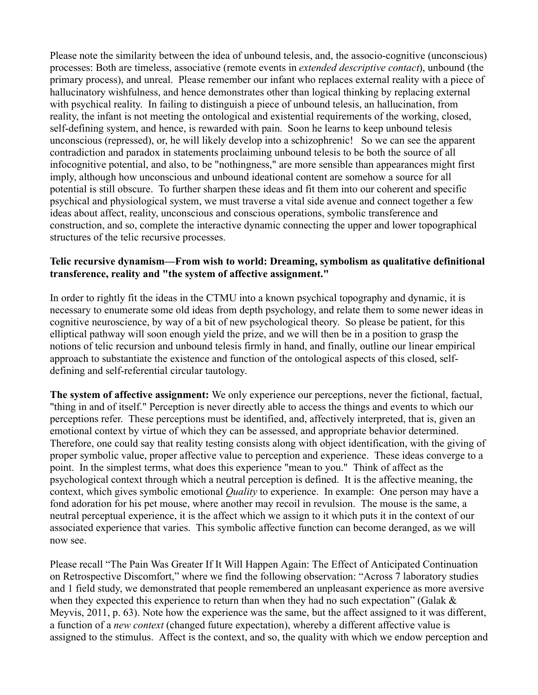Please note the similarity between the idea of unbound telesis, and, the associo-cognitive (unconscious) processes: Both are timeless, associative (remote events in *extended descriptive contact*), unbound (the primary process), and unreal. Please remember our infant who replaces external reality with a piece of hallucinatory wishfulness, and hence demonstrates other than logical thinking by replacing external with psychical reality. In failing to distinguish a piece of unbound telesis, an hallucination, from reality, the infant is not meeting the ontological and existential requirements of the working, closed, self-defining system, and hence, is rewarded with pain. Soon he learns to keep unbound telesis unconscious (repressed), or, he will likely develop into a schizophrenic! So we can see the apparent contradiction and paradox in statements proclaiming unbound telesis to be both the source of all infocognitive potential, and also, to be "nothingness," are more sensible than appearances might first imply, although how unconscious and unbound ideational content are somehow a source for all potential is still obscure. To further sharpen these ideas and fit them into our coherent and specific psychical and physiological system, we must traverse a vital side avenue and connect together a few ideas about affect, reality, unconscious and conscious operations, symbolic transference and construction, and so, complete the interactive dynamic connecting the upper and lower topographical structures of the telic recursive processes.

## **Telic recursive dynamism––From wish to world: Dreaming, symbolism as qualitative definitional transference, reality and "the system of affective assignment."**

In order to rightly fit the ideas in the CTMU into a known psychical topography and dynamic, it is necessary to enumerate some old ideas from depth psychology, and relate them to some newer ideas in cognitive neuroscience, by way of a bit of new psychological theory. So please be patient, for this elliptical pathway will soon enough yield the prize, and we will then be in a position to grasp the notions of telic recursion and unbound telesis firmly in hand, and finally, outline our linear empirical approach to substantiate the existence and function of the ontological aspects of this closed, selfdefining and self-referential circular tautology.

**The system of affective assignment:** We only experience our perceptions, never the fictional, factual, "thing in and of itself." Perception is never directly able to access the things and events to which our perceptions refer. These perceptions must be identified, and, affectively interpreted, that is, given an emotional context by virtue of which they can be assessed, and appropriate behavior determined. Therefore, one could say that reality testing consists along with object identification, with the giving of proper symbolic value, proper affective value to perception and experience. These ideas converge to a point. In the simplest terms, what does this experience "mean to you." Think of affect as the psychological context through which a neutral perception is defined. It is the affective meaning, the context, which gives symbolic emotional *Quality* to experience. In example: One person may have a fond adoration for his pet mouse, where another may recoil in revulsion. The mouse is the same, a neutral perceptual experience, it is the affect which we assign to it which puts it in the context of our associated experience that varies. This symbolic affective function can become deranged, as we will now see.

Please recall "The Pain Was Greater If It Will Happen Again: The Effect of Anticipated Continuation on Retrospective Discomfort," where we find the following observation: "Across 7 laboratory studies and 1 field study, we demonstrated that people remembered an unpleasant experience as more aversive when they expected this experience to return than when they had no such expectation" (Galak  $\&$ Meyvis, 2011, p. 63). Note how the experience was the same, but the affect assigned to it was different, a function of a *new context* (changed future expectation), whereby a different affective value is assigned to the stimulus. Affect is the context, and so, the quality with which we endow perception and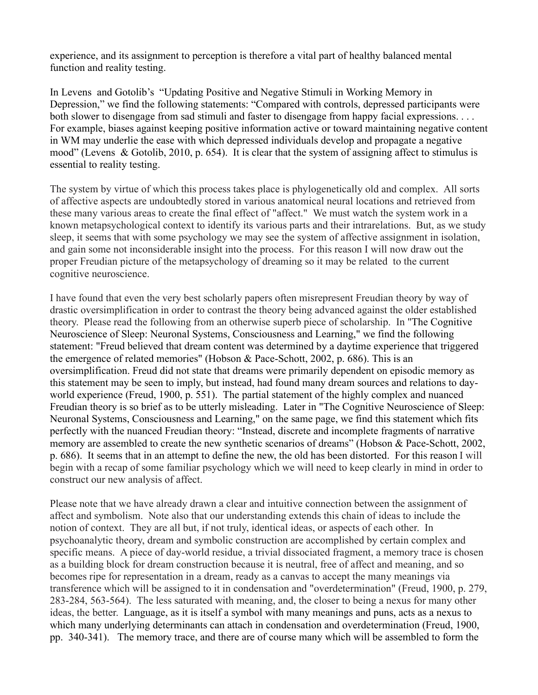experience, and its assignment to perception is therefore a vital part of healthy balanced mental function and reality testing.

In Levens and Gotolib's "Updating Positive and Negative Stimuli in Working Memory in Depression," we find the following statements: "Compared with controls, depressed participants were both slower to disengage from sad stimuli and faster to disengage from happy facial expressions. . . . For example, biases against keeping positive information active or toward maintaining negative content in WM may underlie the ease with which depressed individuals develop and propagate a negative mood" (Levens & Gotolib, 2010, p. 654). It is clear that the system of assigning affect to stimulus is essential to reality testing.

The system by virtue of which this process takes place is phylogenetically old and complex. All sorts of affective aspects are undoubtedly stored in various anatomical neural locations and retrieved from these many various areas to create the final effect of "affect." We must watch the system work in a known metapsychological context to identify its various parts and their intrarelations. But, as we study sleep, it seems that with some psychology we may see the system of affective assignment in isolation, and gain some not inconsiderable insight into the process. For this reason I will now draw out the proper Freudian picture of the metapsychology of dreaming so it may be related to the current cognitive neuroscience.

I have found that even the very best scholarly papers often misrepresent Freudian theory by way of drastic oversimplification in order to contrast the theory being advanced against the older established theory. Please read the following from an otherwise superb piece of scholarship. In "The Cognitive Neuroscience of Sleep: Neuronal Systems, Consciousness and Learning," we find the following statement: "Freud believed that dream content was determined by a daytime experience that triggered the emergence of related memories" (Hobson  $\&$  Pace-Schott, 2002, p. 686). This is an oversimplification. Freud did not state that dreams were primarily dependent on episodic memory as this statement may be seen to imply, but instead, had found many dream sources and relations to dayworld experience (Freud, 1900, p. 551). The partial statement of the highly complex and nuanced Freudian theory is so brief as to be utterly misleading. Later in "The Cognitive Neuroscience of Sleep: Neuronal Systems, Consciousness and Learning," on the same page, we find this statement which fits perfectly with the nuanced Freudian theory: "Instead, discrete and incomplete fragments of narrative memory are assembled to create the new synthetic scenarios of dreams" (Hobson & Pace-Schott, 2002, p. 686). It seems that in an attempt to define the new, the old has been distorted. For this reason I will begin with a recap of some familiar psychology which we will need to keep clearly in mind in order to construct our new analysis of affect.

Please note that we have already drawn a clear and intuitive connection between the assignment of affect and symbolism. Note also that our understanding extends this chain of ideas to include the notion of context. They are all but, if not truly, identical ideas, or aspects of each other. In psychoanalytic theory, dream and symbolic construction are accomplished by certain complex and specific means. A piece of day-world residue, a trivial dissociated fragment, a memory trace is chosen as a building block for dream construction because it is neutral, free of affect and meaning, and so becomes ripe for representation in a dream, ready as a canvas to accept the many meanings via transference which will be assigned to it in condensation and "overdetermination" (Freud, 1900, p. 279, 283-284, 563-564). The less saturated with meaning, and, the closer to being a nexus for many other ideas, the better. Language, as it is itself a symbol with many meanings and puns, acts as a nexus to which many underlying determinants can attach in condensation and overdetermination (Freud, 1900, pp. 340-341). The memory trace, and there are of course many which will be assembled to form the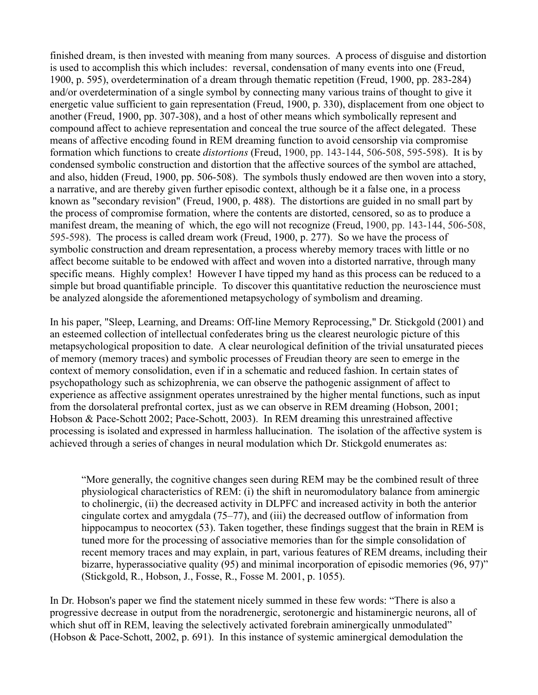finished dream, is then invested with meaning from many sources. A process of disguise and distortion is used to accomplish this which includes: reversal, condensation of many events into one (Freud, 1900, p. 595), overdetermination of a dream through thematic repetition (Freud, 1900, pp. 283-284) and/or overdetermination of a single symbol by connecting many various trains of thought to give it energetic value sufficient to gain representation (Freud, 1900, p. 330), displacement from one object to another (Freud, 1900, pp. 307-308), and a host of other means which symbolically represent and compound affect to achieve representation and conceal the true source of the affect delegated. These means of affective encoding found in REM dreaming function to avoid censorship via compromise formation which functions to create *distortions* (Freud, 1900, pp. 143-144, 506-508, 595-598). It is by condensed symbolic construction and distortion that the affective sources of the symbol are attached, and also, hidden (Freud, 1900, pp. 506-508). The symbols thusly endowed are then woven into a story, a narrative, and are thereby given further episodic context, although be it a false one, in a process known as "secondary revision" (Freud, 1900, p. 488). The distortions are guided in no small part by the process of compromise formation, where the contents are distorted, censored, so as to produce a manifest dream, the meaning of which, the ego will not recognize (Freud, 1900, pp. 143-144, 506-508, 595-598). The process is called dream work (Freud, 1900, p. 277). So we have the process of symbolic construction and dream representation, a process whereby memory traces with little or no affect become suitable to be endowed with affect and woven into a distorted narrative, through many specific means. Highly complex! However I have tipped my hand as this process can be reduced to a simple but broad quantifiable principle. To discover this quantitative reduction the neuroscience must be analyzed alongside the aforementioned metapsychology of symbolism and dreaming.

In his paper, "Sleep, Learning, and Dreams: Off-line Memory Reprocessing," Dr. Stickgold (2001) and an esteemed collection of intellectual confederates bring us the clearest neurologic picture of this metapsychological proposition to date. A clear neurological definition of the trivial unsaturated pieces of memory (memory traces) and symbolic processes of Freudian theory are seen to emerge in the context of memory consolidation, even if in a schematic and reduced fashion. In certain states of psychopathology such as schizophrenia, we can observe the pathogenic assignment of affect to experience as affective assignment operates unrestrained by the higher mental functions, such as input from the dorsolateral prefrontal cortex, just as we can observe in REM dreaming (Hobson, 2001; Hobson & Pace-Schott 2002; Pace-Schott, 2003). In REM dreaming this unrestrained affective processing is isolated and expressed in harmless hallucination. The isolation of the affective system is achieved through a series of changes in neural modulation which Dr. Stickgold enumerates as:

"More generally, the cognitive changes seen during REM may be the combined result of three physiological characteristics of REM: (i) the shift in neuromodulatory balance from aminergic to cholinergic, (ii) the decreased activity in DLPFC and increased activity in both the anterior cingulate cortex and amygdala (75–77), and (iii) the decreased outflow of information from hippocampus to neocortex (53). Taken together, these findings suggest that the brain in REM is tuned more for the processing of associative memories than for the simple consolidation of recent memory traces and may explain, in part, various features of REM dreams, including their bizarre, hyperassociative quality (95) and minimal incorporation of episodic memories (96, 97)" (Stickgold, R., Hobson, J., Fosse, R., Fosse M. 2001, p. 1055).

In Dr. Hobson's paper we find the statement nicely summed in these few words: "There is also a progressive decrease in output from the noradrenergic, serotonergic and histaminergic neurons, all of which shut off in REM, leaving the selectively activated forebrain aminergically unmodulated" (Hobson & Pace-Schott, 2002, p. 691). In this instance of systemic aminergical demodulation the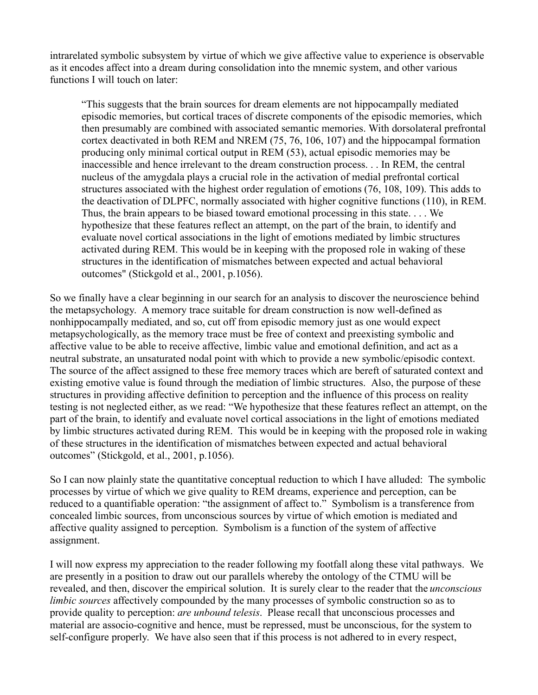intrarelated symbolic subsystem by virtue of which we give affective value to experience is observable as it encodes affect into a dream during consolidation into the mnemic system, and other various functions I will touch on later:

"This suggests that the brain sources for dream elements are not hippocampally mediated episodic memories, but cortical traces of discrete components of the episodic memories, which then presumably are combined with associated semantic memories. With dorsolateral prefrontal cortex deactivated in both REM and NREM (75, 76, 106, 107) and the hippocampal formation producing only minimal cortical output in REM (53), actual episodic memories may be inaccessible and hence irrelevant to the dream construction process. . . In REM, the central nucleus of the amygdala plays a crucial role in the activation of medial prefrontal cortical structures associated with the highest order regulation of emotions (76, 108, 109). This adds to the deactivation of DLPFC, normally associated with higher cognitive functions (110), in REM. Thus, the brain appears to be biased toward emotional processing in this state. . . . We hypothesize that these features reflect an attempt, on the part of the brain, to identify and evaluate novel cortical associations in the light of emotions mediated by limbic structures activated during REM. This would be in keeping with the proposed role in waking of these structures in the identification of mismatches between expected and actual behavioral outcomes" (Stickgold et al., 2001, p.1056).

So we finally have a clear beginning in our search for an analysis to discover the neuroscience behind the metapsychology. A memory trace suitable for dream construction is now well-defined as nonhippocampally mediated, and so, cut off from episodic memory just as one would expect metapsychologically, as the memory trace must be free of context and preexisting symbolic and affective value to be able to receive affective, limbic value and emotional definition, and act as a neutral substrate, an unsaturated nodal point with which to provide a new symbolic/episodic context. The source of the affect assigned to these free memory traces which are bereft of saturated context and existing emotive value is found through the mediation of limbic structures. Also, the purpose of these structures in providing affective definition to perception and the influence of this process on reality testing is not neglected either, as we read: "We hypothesize that these features reflect an attempt, on the part of the brain, to identify and evaluate novel cortical associations in the light of emotions mediated by limbic structures activated during REM. This would be in keeping with the proposed role in waking of these structures in the identification of mismatches between expected and actual behavioral outcomes" (Stickgold, et al., 2001, p.1056).

So I can now plainly state the quantitative conceptual reduction to which I have alluded: The symbolic processes by virtue of which we give quality to REM dreams, experience and perception, can be reduced to a quantifiable operation: "the assignment of affect to." Symbolism is a transference from concealed limbic sources, from unconscious sources by virtue of which emotion is mediated and affective quality assigned to perception. Symbolism is a function of the system of affective assignment.

I will now express my appreciation to the reader following my footfall along these vital pathways. We are presently in a position to draw out our parallels whereby the ontology of the CTMU will be revealed, and then, discover the empirical solution. It is surely clear to the reader that the *unconscious limbic sources* affectively compounded by the many processes of symbolic construction so as to provide quality to perception: *are unbound telesis*. Please recall that unconscious processes and material are associo-cognitive and hence, must be repressed, must be unconscious, for the system to self-configure properly. We have also seen that if this process is not adhered to in every respect,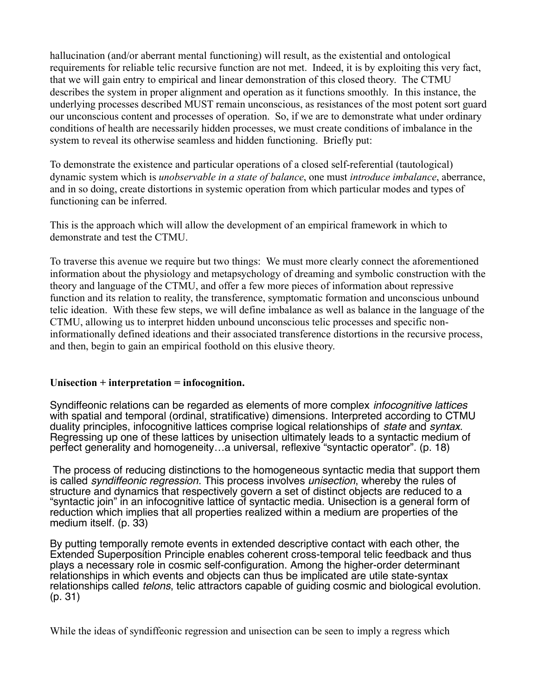hallucination (and/or aberrant mental functioning) will result, as the existential and ontological requirements for reliable telic recursive function are not met. Indeed, it is by exploiting this very fact, that we will gain entry to empirical and linear demonstration of this closed theory. The CTMU describes the system in proper alignment and operation as it functions smoothly. In this instance, the underlying processes described MUST remain unconscious, as resistances of the most potent sort guard our unconscious content and processes of operation. So, if we are to demonstrate what under ordinary conditions of health are necessarily hidden processes, we must create conditions of imbalance in the system to reveal its otherwise seamless and hidden functioning. Briefly put:

To demonstrate the existence and particular operations of a closed self-referential (tautological) dynamic system which is *unobservable in a state of balance*, one must *introduce imbalance*, aberrance, and in so doing, create distortions in systemic operation from which particular modes and types of functioning can be inferred.

This is the approach which will allow the development of an empirical framework in which to demonstrate and test the CTMU.

To traverse this avenue we require but two things: We must more clearly connect the aforementioned information about the physiology and metapsychology of dreaming and symbolic construction with the theory and language of the CTMU, and offer a few more pieces of information about repressive function and its relation to reality, the transference, symptomatic formation and unconscious unbound telic ideation. With these few steps, we will define imbalance as well as balance in the language of the CTMU, allowing us to interpret hidden unbound unconscious telic processes and specific noninformationally defined ideations and their associated transference distortions in the recursive process, and then, begin to gain an empirical foothold on this elusive theory.

#### **Unisection + interpretation = infocognition.**

Syndiffeonic relations can be regarded as elements of more complex *infocognitive lattices* with spatial and temporal (ordinal, stratificative) dimensions. Interpreted according to CTMU duality principles, infocognitive lattices comprise logical relationships of *state* and *syntax*. Regressing up one of these lattices by unisection ultimately leads to a syntactic medium of perfect generality and homogeneity…a universal, reflexive "syntactic operator". (p. 18)

 The process of reducing distinctions to the homogeneous syntactic media that support them is called *syndiffeonic regression*. This process involves *unisection*, whereby the rules of structure and dynamics that respectively govern a set of distinct objects are reduced to a "syntactic join" in an infocognitive lattice of syntactic media. Unisection is a general form of reduction which implies that all properties realized within a medium are properties of the medium itself. (p. 33)

By putting temporally remote events in extended descriptive contact with each other, the Extended Superposition Principle enables coherent cross-temporal telic feedback and thus plays a necessary role in cosmic self-configuration. Among the higher-order determinant relationships in which events and objects can thus be implicated are utile state-syntax relationships called *telons*, telic attractors capable of guiding cosmic and biological evolution. (p. 31)

While the ideas of syndiffeonic regression and unisection can be seen to imply a regress which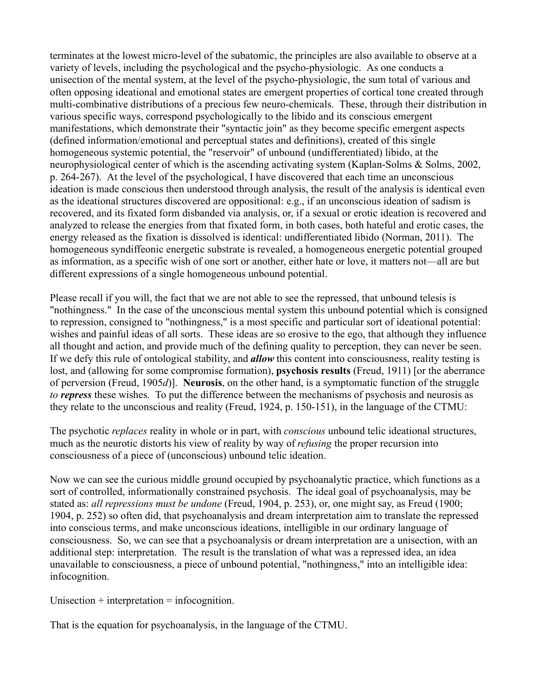terminates at the lowest micro-level of the subatomic, the principles are also available to observe at a variety of levels, including the psychological and the psycho-physiologic. As one conducts a unisection of the mental system, at the level of the psycho-physiologic, the sum total of various and often opposing ideational and emotional states are emergent properties of cortical tone created through multi-combinative distributions of a precious few neuro-chemicals. These, through their distribution in various specific ways, correspond psychologically to the libido and its conscious emergent manifestations, which demonstrate their "syntactic join" as they become specific emergent aspects (defined information/emotional and perceptual states and definitions), created of this single homogeneous systemic potential, the "reservoir" of unbound (undifferentiated) libido, at the neurophysiological center of which is the ascending activating system (Kaplan-Solms & Solms, 2002, p. 264-267). At the level of the psychological, I have discovered that each time an unconscious ideation is made conscious then understood through analysis, the result of the analysis is identical even as the ideational structures discovered are oppositional: e.g., if an unconscious ideation of sadism is recovered, and its fixated form disbanded via analysis, or, if a sexual or erotic ideation is recovered and analyzed to release the energies from that fixated form, in both cases, both hateful and erotic cases, the energy released as the fixation is dissolved is identical: undifferentiated libido (Norman, 2011). The homogeneous syndiffeonic energetic substrate is revealed, a homogeneous energetic potential grouped as information, as a specific wish of one sort or another, either hate or love, it matters not––all are but different expressions of a single homogeneous unbound potential.

Please recall if you will, the fact that we are not able to see the repressed, that unbound telesis is "nothingness." In the case of the unconscious mental system this unbound potential which is consigned to repression, consigned to "nothingness," is a most specific and particular sort of ideational potential: wishes and painful ideas of all sorts. These ideas are so erosive to the ego, that although they influence all thought and action, and provide much of the defining quality to perception, they can never be seen. If we defy this rule of ontological stability, and *allow* this content into consciousness, reality testing is lost, and (allowing for some compromise formation), **psychosis results** (Freud, 1911) [or the aberrance of perversion (Freud, 1905*d*)]. **Neurosis**, on the other hand, is a symptomatic function of the struggle *to repress* these wishes. To put the difference between the mechanisms of psychosis and neurosis as they relate to the unconscious and reality (Freud, 1924, p. 150-151), in the language of the CTMU:

The psychotic *replaces* reality in whole or in part, with *conscious* unbound telic ideational structures, much as the neurotic distorts his view of reality by way of *refusing* the proper recursion into consciousness of a piece of (unconscious) unbound telic ideation.

Now we can see the curious middle ground occupied by psychoanalytic practice, which functions as a sort of controlled, informationally constrained psychosis. The ideal goal of psychoanalysis, may be stated as: *all repressions must be undone* (Freud, 1904, p. 253), or, one might say, as Freud (1900; 1904, p. 252) so often did, that psychoanalysis and dream interpretation aim to translate the repressed into conscious terms, and make unconscious ideations, intelligible in our ordinary language of consciousness. So, we can see that a psychoanalysis or dream interpretation are a unisection, with an additional step: interpretation. The result is the translation of what was a repressed idea, an idea unavailable to consciousness, a piece of unbound potential, "nothingness," into an intelligible idea: infocognition.

Unisection  $+$  interpretation  $=$  infocognition.

That is the equation for psychoanalysis, in the language of the CTMU.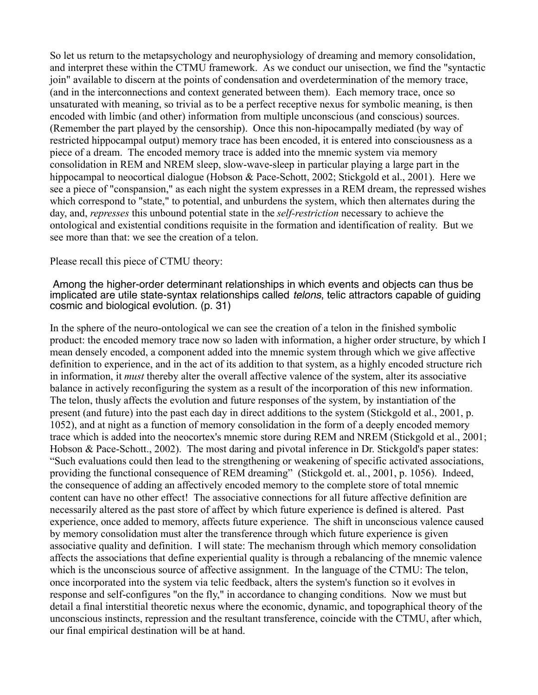So let us return to the metapsychology and neurophysiology of dreaming and memory consolidation, and interpret these within the CTMU framework. As we conduct our unisection, we find the "syntactic join" available to discern at the points of condensation and overdetermination of the memory trace, (and in the interconnections and context generated between them). Each memory trace, once so unsaturated with meaning, so trivial as to be a perfect receptive nexus for symbolic meaning, is then encoded with limbic (and other) information from multiple unconscious (and conscious) sources. (Remember the part played by the censorship). Once this non-hipocampally mediated (by way of restricted hippocampal output) memory trace has been encoded, it is entered into consciousness as a piece of a dream. The encoded memory trace is added into the mnemic system via memory consolidation in REM and NREM sleep, slow-wave-sleep in particular playing a large part in the hippocampal to neocortical dialogue (Hobson & Pace-Schott, 2002; Stickgold et al., 2001). Here we see a piece of "conspansion," as each night the system expresses in a REM dream, the repressed wishes which correspond to "state," to potential, and unburdens the system, which then alternates during the day, and, *represses* this unbound potential state in the *self-restriction* necessary to achieve the ontological and existential conditions requisite in the formation and identification of reality. But we see more than that: we see the creation of a telon.

#### Please recall this piece of CTMU theory:

#### Among the higher-order determinant relationships in which events and objects can thus be implicated are utile state-syntax relationships called *telons*, telic attractors capable of guiding cosmic and biological evolution. (p. 31)

In the sphere of the neuro-ontological we can see the creation of a telon in the finished symbolic product: the encoded memory trace now so laden with information, a higher order structure, by which I mean densely encoded, a component added into the mnemic system through which we give affective definition to experience, and in the act of its addition to that system, as a highly encoded structure rich in information, it *must* thereby alter the overall affective valence of the system, alter its associative balance in actively reconfiguring the system as a result of the incorporation of this new information. The telon, thusly affects the evolution and future responses of the system, by instantiation of the present (and future) into the past each day in direct additions to the system (Stickgold et al., 2001, p. 1052), and at night as a function of memory consolidation in the form of a deeply encoded memory trace which is added into the neocortex's mnemic store during REM and NREM (Stickgold et al., 2001; Hobson & Pace-Schott., 2002). The most daring and pivotal inference in Dr. Stickgold's paper states: "Such evaluations could then lead to the strengthening or weakening of specific activated associations, providing the functional consequence of REM dreaming" (Stickgold et. al., 2001, p. 1056). Indeed, the consequence of adding an affectively encoded memory to the complete store of total mnemic content can have no other effect! The associative connections for all future affective definition are necessarily altered as the past store of affect by which future experience is defined is altered. Past experience, once added to memory, affects future experience. The shift in unconscious valence caused by memory consolidation must alter the transference through which future experience is given associative quality and definition. I will state: The mechanism through which memory consolidation affects the associations that define experiential quality is through a rebalancing of the mnemic valence which is the unconscious source of affective assignment. In the language of the CTMU: The telon, once incorporated into the system via telic feedback, alters the system's function so it evolves in response and self-configures "on the fly," in accordance to changing conditions. Now we must but detail a final interstitial theoretic nexus where the economic, dynamic, and topographical theory of the unconscious instincts, repression and the resultant transference, coincide with the CTMU, after which, our final empirical destination will be at hand.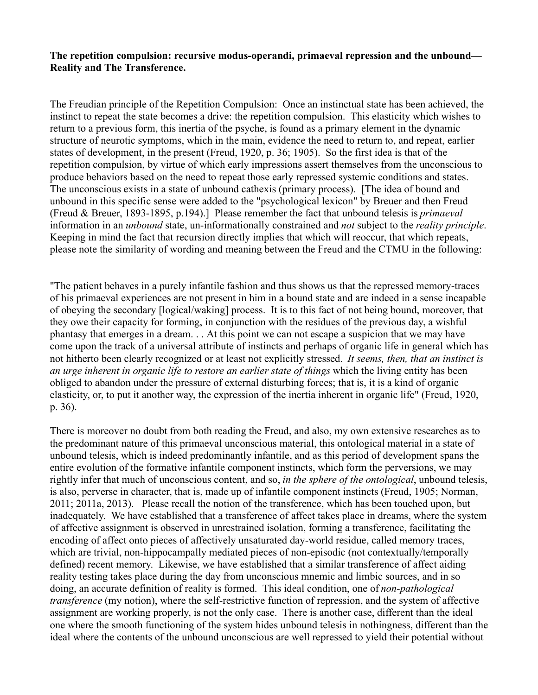### **The repetition compulsion: recursive modus-operandi, primaeval repression and the unbound–– Reality and The Transference.**

The Freudian principle of the Repetition Compulsion: Once an instinctual state has been achieved, the instinct to repeat the state becomes a drive: the repetition compulsion. This elasticity which wishes to return to a previous form, this inertia of the psyche, is found as a primary element in the dynamic structure of neurotic symptoms, which in the main, evidence the need to return to, and repeat, earlier states of development, in the present (Freud, 1920, p. 36; 1905). So the first idea is that of the repetition compulsion, by virtue of which early impressions assert themselves from the unconscious to produce behaviors based on the need to repeat those early repressed systemic conditions and states. The unconscious exists in a state of unbound cathexis (primary process). [The idea of bound and unbound in this specific sense were added to the "psychological lexicon" by Breuer and then Freud (Freud & Breuer, 1893-1895, p.194).] Please remember the fact that unbound telesis is *primaeval* information in an *unbound* state, un-informationally constrained and *not* subject to the *reality principle*. Keeping in mind the fact that recursion directly implies that which will reoccur, that which repeats, please note the similarity of wording and meaning between the Freud and the CTMU in the following:

"The patient behaves in a purely infantile fashion and thus shows us that the repressed memory-traces of his primaeval experiences are not present in him in a bound state and are indeed in a sense incapable of obeying the secondary [logical/waking] process. It is to this fact of not being bound, moreover, that they owe their capacity for forming, in conjunction with the residues of the previous day, a wishful phantasy that emerges in a dream. . . At this point we can not escape a suspicion that we may have come upon the track of a universal attribute of instincts and perhaps of organic life in general which has not hitherto been clearly recognized or at least not explicitly stressed. *It seems, then, that an instinct is an urge inherent in organic life to restore an earlier state of things* which the living entity has been obliged to abandon under the pressure of external disturbing forces; that is, it is a kind of organic elasticity, or, to put it another way, the expression of the inertia inherent in organic life" (Freud, 1920, p. 36).

There is moreover no doubt from both reading the Freud, and also, my own extensive researches as to the predominant nature of this primaeval unconscious material, this ontological material in a state of unbound telesis, which is indeed predominantly infantile, and as this period of development spans the entire evolution of the formative infantile component instincts, which form the perversions, we may rightly infer that much of unconscious content, and so, *in the sphere of the ontological*, unbound telesis, is also, perverse in character, that is, made up of infantile component instincts (Freud, 1905; Norman, 2011; 2011a, 2013). Please recall the notion of the transference, which has been touched upon, but inadequately. We have established that a transference of affect takes place in dreams, where the system of affective assignment is observed in unrestrained isolation, forming a transference, facilitating the encoding of affect onto pieces of affectively unsaturated day-world residue, called memory traces, which are trivial, non-hippocampally mediated pieces of non-episodic (not contextually/temporally defined) recent memory. Likewise, we have established that a similar transference of affect aiding reality testing takes place during the day from unconscious mnemic and limbic sources, and in so doing, an accurate definition of reality is formed. This ideal condition, one of *non-pathological transference* (my notion), where the self-restrictive function of repression, and the system of affective assignment are working properly, is not the only case. There is another case, different than the ideal one where the smooth functioning of the system hides unbound telesis in nothingness, different than the ideal where the contents of the unbound unconscious are well repressed to yield their potential without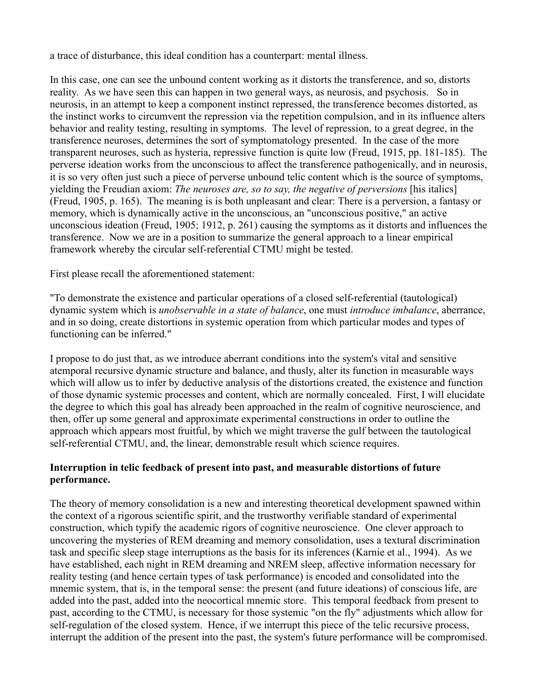a trace of disturbance, this ideal condition has a counterpart: mental illness.

In this case, one can see the unbound content working as it distorts the transference, and so, distorts reality. As we have seen this can happen in two general ways, as neurosis, and psychosis. So in neurosis, in an attempt to keep a component instinct repressed, the transference becomes distorted, as the instinct works to circumvent the repression via the repetition compulsion, and in its influence alters behavior and reality testing, resulting in symptoms. The level of repression, to a great degree, in the transference neuroses, determines the sort of symptomatology presented. In the case of the more transparent neuroses, such as hysteria, repressive function is quite low (Freud, 1915, pp. 181-185). The perverse ideation works from the unconscious to affect the transference pathogenically, and in neurosis, it is so very often just such a piece of perverse unbound telic content which is the source of symptoms, yielding the Freudian axiom: *The neuroses are, so to say, the negative of perversions* [his italics] (Freud, 1905, p. 165). The meaning is is both unpleasant and clear: There is a perversion, a fantasy or memory, which is dynamically active in the unconscious, an "unconscious positive," an active unconscious ideation (Freud, 1905; 1912, p. 261) causing the symptoms as it distorts and influences the transference. Now we are in a position to summarize the general approach to a linear empirical framework whereby the circular self-referential CTMU might be tested.

First please recall the aforementioned statement:

"To demonstrate the existence and particular operations of a closed self-referential (tautological) dynamic system which is *unobservable in a state of balance*, one must *introduce imbalance*, aberrance, and in so doing, create distortions in systemic operation from which particular modes and types of functioning can be inferred."

I propose to do just that, as we introduce aberrant conditions into the system's vital and sensitive atemporal recursive dynamic structure and balance, and thusly, alter its function in measurable ways which will allow us to infer by deductive analysis of the distortions created, the existence and function of those dynamic systemic processes and content, which are normally concealed. First, I will elucidate the degree to which this goal has already been approached in the realm of cognitive neuroscience, and then, offer up some general and approximate experimental constructions in order to outline the approach which appears most fruitful, by which we might traverse the gulf between the tautological self-referential CTMU, and, the linear, demonstrable result which science requires.

# **Interruption in telic feedback of present into past, and measurable distortions of future performance.**

The theory of memory consolidation is a new and interesting theoretical development spawned within the context of a rigorous scientific spirit, and the trustworthy verifiable standard of experimental construction, which typify the academic rigors of cognitive neuroscience. One clever approach to uncovering the mysteries of REM dreaming and memory consolidation, uses a textural discrimination task and specific sleep stage interruptions as the basis for its inferences (Karnie et al., 1994). As we have established, each night in REM dreaming and NREM sleep, affective information necessary for reality testing (and hence certain types of task performance) is encoded and consolidated into the mnemic system, that is, in the temporal sense: the present (and future ideations) of conscious life, are added into the past, added into the neocortical mnemic store. This temporal feedback from present to past, according to the CTMU, is necessary for those systemic "on the fly" adjustments which allow for self-regulation of the closed system. Hence, if we interrupt this piece of the telic recursive process, interrupt the addition of the present into the past, the system's future performance will be compromised.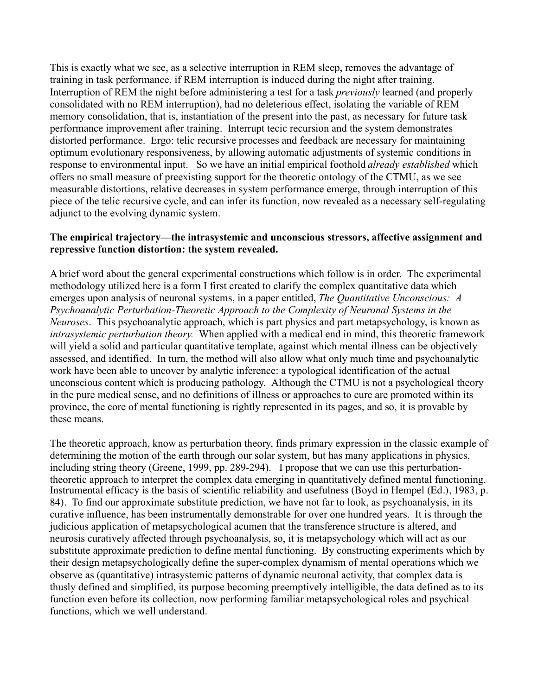This is exactly what we see, as a selective interruption in REM sleep, removes the advantage of training in task performance, if REM interruption is induced during the night after training. Interruption of REM the night before administering a test for a task *previously* learned (and properly consolidated with no REM interruption), had no deleterious effect, isolating the variable of REM memory consolidation, that is, instantiation of the present into the past, as necessary for future task performance improvement after training. Interrupt tecic recursion and the system demonstrates distorted performance. Ergo: telic recursive processes and feedback are necessary for maintaining optimum evolutionary responsiveness, by allowing automatic adjustments of systemic conditions in response to environmental input. So we have an initial empirical foothold *already established* which offers no small measure of preexisting support for the theoretic ontology of the CTMU, as we see measurable distortions, relative decreases in system performance emerge, through interruption of this piece of the telic recursive cycle, and can infer its function, now revealed as a necessary self-regulating adjunct to the evolving dynamic system.

### **The empirical trajectory––the intrasystemic and unconscious stressors, affective assignment and repressive function distortion: the system revealed.**

A brief word about the general experimental constructions which follow is in order. The experimental methodology utilized here is a form I first created to clarify the complex quantitative data which emerges upon analysis of neuronal systems, in a paper entitled, *The Quantitative Unconscious: A Psychoanalytic Perturbation-Theoretic Approach to the Complexity of Neuronal Systems in the Neuroses*. This psychoanalytic approach, which is part physics and part metapsychology, is known as *intrasystemic perturbation theory.* When applied with a medical end in mind, this theoretic framework will yield a solid and particular quantitative template, against which mental illness can be objectively assessed, and identified. In turn, the method will also allow what only much time and psychoanalytic work have been able to uncover by analytic inference: a typological identification of the actual unconscious content which is producing pathology. Although the CTMU is not a psychological theory in the pure medical sense, and no definitions of illness or approaches to cure are promoted within its province, the core of mental functioning is rightly represented in its pages, and so, it is provable by these means.

The theoretic approach, know as perturbation theory, finds primary expression in the classic example of determining the motion of the earth through our solar system, but has many applications in physics, including string theory (Greene, 1999, pp. 289-294). I propose that we can use this perturbationtheoretic approach to interpret the complex data emerging in quantitatively defined mental functioning. Instrumental efficacy is the basis of scientific reliability and usefulness (Boyd in Hempel (Ed.), 1983, p. 84). To find our approximate substitute prediction, we have not far to look, as psychoanalysis, in its curative influence, has been instrumentally demonstrable for over one hundred years. It is through the judicious application of metapsychological acumen that the transference structure is altered, and neurosis curatively affected through psychoanalysis, so, it is metapsychology which will act as our substitute approximate prediction to define mental functioning. By constructing experiments which by their design metapsychologically define the super-complex dynamism of mental operations which we observe as (quantitative) intrasystemic patterns of dynamic neuronal activity, that complex data is thusly defined and simplified, its purpose becoming preemptively intelligible, the data defined as to its function even before its collection, now performing familiar metapsychological roles and psychical functions, which we well understand.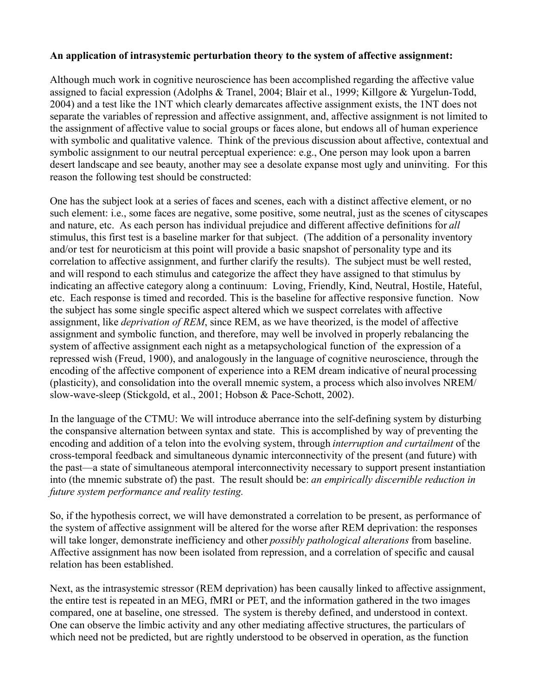# **An application of intrasystemic perturbation theory to the system of affective assignment:**

Although much work in cognitive neuroscience has been accomplished regarding the affective value assigned to facial expression (Adolphs & Tranel, 2004; Blair et al., 1999; Killgore & Yurgelun-Todd, 2004) and a test like the 1NT which clearly demarcates affective assignment exists, the 1NT does not separate the variables of repression and affective assignment, and, affective assignment is not limited to the assignment of affective value to social groups or faces alone, but endows all of human experience with symbolic and qualitative valence. Think of the previous discussion about affective, contextual and symbolic assignment to our neutral perceptual experience: e.g., One person may look upon a barren desert landscape and see beauty, another may see a desolate expanse most ugly and uninviting. For this reason the following test should be constructed:

One has the subject look at a series of faces and scenes, each with a distinct affective element, or no such element: i.e., some faces are negative, some positive, some neutral, just as the scenes of cityscapes and nature, etc. As each person has individual prejudice and different affective definitions for *all*  stimulus, this first test is a baseline marker for that subject. (The addition of a personality inventory and/or test for neuroticism at this point will provide a basic snapshot of personality type and its correlation to affective assignment, and further clarify the results). The subject must be well rested, and will respond to each stimulus and categorize the affect they have assigned to that stimulus by indicating an affective category along a continuum: Loving, Friendly, Kind, Neutral, Hostile, Hateful, etc. Each response is timed and recorded. This is the baseline for affective responsive function. Now the subject has some single specific aspect altered which we suspect correlates with affective assignment, like *deprivation of REM*, since REM, as we have theorized, is the model of affective assignment and symbolic function, and therefore, may well be involved in properly rebalancing the system of affective assignment each night as a metapsychological function of the expression of a repressed wish (Freud, 1900), and analogously in the language of cognitive neuroscience, through the encoding of the affective component of experience into a REM dream indicative of neural processing (plasticity), and consolidation into the overall mnemic system, a process which also involves NREM/ slow-wave-sleep (Stickgold, et al., 2001; Hobson & Pace-Schott, 2002).

In the language of the CTMU: We will introduce aberrance into the self-defining system by disturbing the conspansive alternation between syntax and state. This is accomplished by way of preventing the encoding and addition of a telon into the evolving system, through *interruption and curtailment* of the cross-temporal feedback and simultaneous dynamic interconnectivity of the present (and future) with the past––a state of simultaneous atemporal interconnectivity necessary to support present instantiation into (the mnemic substrate of) the past. The result should be: *an empirically discernible reduction in future system performance and reality testing.*

So, if the hypothesis correct, we will have demonstrated a correlation to be present, as performance of the system of affective assignment will be altered for the worse after REM deprivation: the responses will take longer, demonstrate inefficiency and other *possibly pathological alterations* from baseline. Affective assignment has now been isolated from repression, and a correlation of specific and causal relation has been established.

Next, as the intrasystemic stressor (REM deprivation) has been causally linked to affective assignment, the entire test is repeated in an MEG, fMRI or PET, and the information gathered in the two images compared, one at baseline, one stressed. The system is thereby defined, and understood in context. One can observe the limbic activity and any other mediating affective structures, the particulars of which need not be predicted, but are rightly understood to be observed in operation, as the function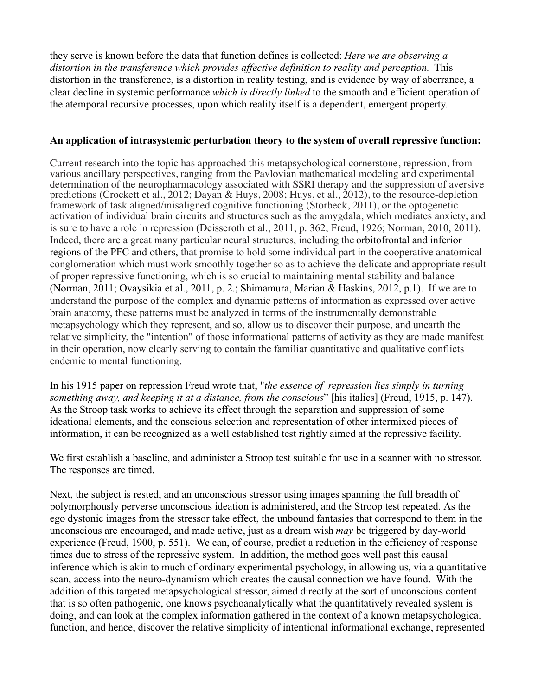they serve is known before the data that function defines is collected: *Here we are observing a* distortion in the transference which provides affective definition to reality and perception. This distortion in the transference, is a distortion in reality testing, and is evidence by way of aberrance, a clear decline in systemic performance *which is directly linked* to the smooth and efficient operation of the atemporal recursive processes, upon which reality itself is a dependent, emergent property.

### **An application of intrasystemic perturbation theory to the system of overall repressive function:**

Current research into the topic has approached this metapsychological cornerstone, repression, from various ancillary perspectives, ranging from the Pavlovian mathematical modeling and experimental determination of the neuropharmacology associated with SSRI therapy and the suppression of aversive predictions (Crockett et al., 2012; Dayan & Huys, 2008; Huys, et al., 2012), to the resource-depletion framework of task aligned/misaligned cognitive functioning (Storbeck, 2011), or the optogenetic activation of individual brain circuits and structures such as the amygdala, which mediates anxiety, and is sure to have a role in repression (Deisseroth et al., 2011, p. 362; Freud, 1926; Norman, 2010, 2011). Indeed, there are a great many particular neural structures, including the orbitofrontal and inferior regions of the PFC and others, that promise to hold some individual part in the cooperative anatomical conglomeration which must work smoothly together so as to achieve the delicate and appropriate result of proper repressive functioning, which is so crucial to maintaining mental stability and balance (Norman, 2011; Ovaysikia et al., 2011, p. 2.; Shimamura, Marian & Haskins, 2012, p.1). If we are to understand the purpose of the complex and dynamic patterns of information as expressed over active brain anatomy, these patterns must be analyzed in terms of the instrumentally demonstrable metapsychology which they represent, and so, allow us to discover their purpose, and unearth the relative simplicity, the "intention" of those informational patterns of activity as they are made manifest in their operation, now clearly serving to contain the familiar quantitative and qualitative conflicts endemic to mental functioning.

In his 1915 paper on repression Freud wrote that, "*the essence of repression lies simply in turning something away, and keeping it at a distance, from the conscious*" [his italics] (Freud, 1915, p. 147). As the Stroop task works to achieve its effect through the separation and suppression of some ideational elements, and the conscious selection and representation of other intermixed pieces of information, it can be recognized as a well established test rightly aimed at the repressive facility.

We first establish a baseline, and administer a Stroop test suitable for use in a scanner with no stressor. The responses are timed.

Next, the subject is rested, and an unconscious stressor using images spanning the full breadth of polymorphously perverse unconscious ideation is administered, and the Stroop test repeated. As the ego dystonic images from the stressor take effect, the unbound fantasies that correspond to them in the unconscious are encouraged, and made active, just as a dream wish *may* be triggered by day-world experience (Freud, 1900, p. 551). We can, of course, predict a reduction in the efficiency of response times due to stress of the repressive system. In addition, the method goes well past this causal inference which is akin to much of ordinary experimental psychology, in allowing us, via a quantitative scan, access into the neuro-dynamism which creates the causal connection we have found. With the addition of this targeted metapsychological stressor, aimed directly at the sort of unconscious content that is so often pathogenic, one knows psychoanalytically what the quantitatively revealed system is doing, and can look at the complex information gathered in the context of a known metapsychological function, and hence, discover the relative simplicity of intentional informational exchange, represented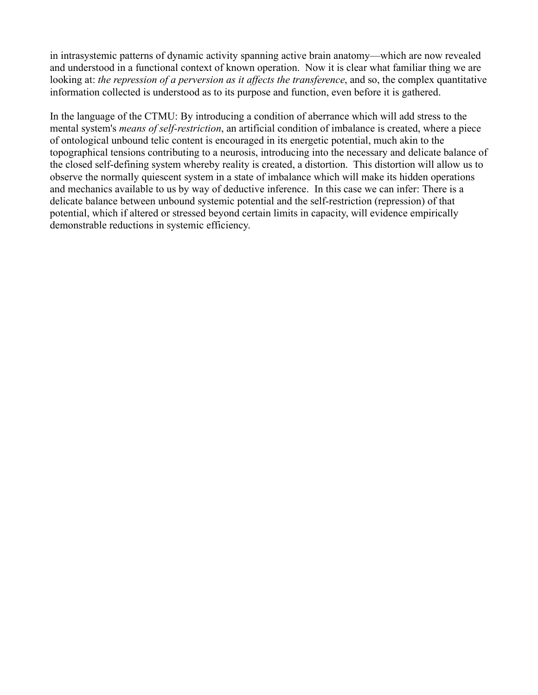in intrasystemic patterns of dynamic activity spanning active brain anatomy––which are now revealed and understood in a functional context of known operation. Now it is clear what familiar thing we are looking at: *the repression of a perversion as it affects the transference*, and so, the complex quantitative information collected is understood as to its purpose and function, even before it is gathered.

In the language of the CTMU: By introducing a condition of aberrance which will add stress to the mental system's *means of self-restriction*, an artificial condition of imbalance is created, where a piece of ontological unbound telic content is encouraged in its energetic potential, much akin to the topographical tensions contributing to a neurosis, introducing into the necessary and delicate balance of the closed self-defining system whereby reality is created, a distortion. This distortion will allow us to observe the normally quiescent system in a state of imbalance which will make its hidden operations and mechanics available to us by way of deductive inference. In this case we can infer: There is a delicate balance between unbound systemic potential and the self-restriction (repression) of that potential, which if altered or stressed beyond certain limits in capacity, will evidence empirically demonstrable reductions in systemic efficiency.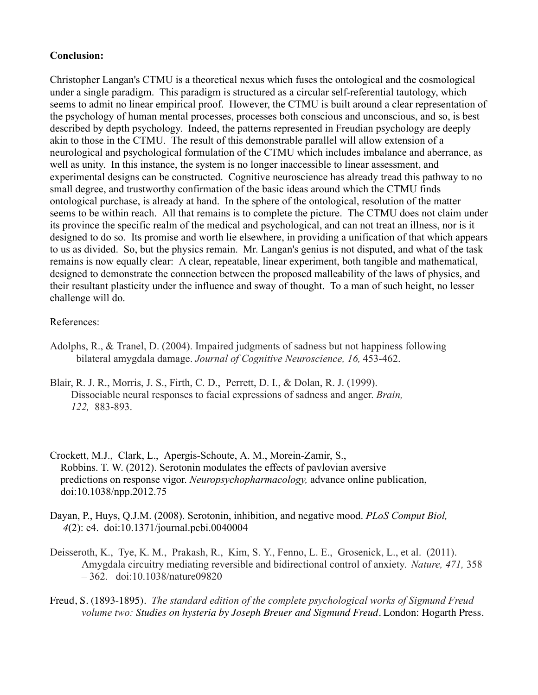# **Conclusion:**

Christopher Langan's CTMU is a theoretical nexus which fuses the ontological and the cosmological under a single paradigm. This paradigm is structured as a circular self-referential tautology, which seems to admit no linear empirical proof. However, the CTMU is built around a clear representation of the psychology of human mental processes, processes both conscious and unconscious, and so, is best described by depth psychology. Indeed, the patterns represented in Freudian psychology are deeply akin to those in the CTMU. The result of this demonstrable parallel will allow extension of a neurological and psychological formulation of the CTMU which includes imbalance and aberrance, as well as unity. In this instance, the system is no longer inaccessible to linear assessment, and experimental designs can be constructed. Cognitive neuroscience has already tread this pathway to no small degree, and trustworthy confirmation of the basic ideas around which the CTMU finds ontological purchase, is already at hand. In the sphere of the ontological, resolution of the matter seems to be within reach. All that remains is to complete the picture. The CTMU does not claim under its province the specific realm of the medical and psychological, and can not treat an illness, nor is it designed to do so. Its promise and worth lie elsewhere, in providing a unification of that which appears to us as divided. So, but the physics remain. Mr. Langan's genius is not disputed, and what of the task remains is now equally clear: A clear, repeatable, linear experiment, both tangible and mathematical, designed to demonstrate the connection between the proposed malleability of the laws of physics, and their resultant plasticity under the influence and sway of thought. To a man of such height, no lesser challenge will do.

#### References:

- Adolphs, R., & Tranel, D. (2004). Impaired judgments of sadness but not happiness following bilateral amygdala damage. *Journal of Cognitive Neuroscience, 16,* 453-462.
- Blair, R. J. R., Morris, J. S., Firth, C. D., Perrett, D. I., & Dolan, R. J. (1999). Dissociable neural responses to facial expressions of sadness and anger. *Brain, 122,* 883-893.
- Crockett, M.J., Clark, L., Apergis-Schoute, A. M., Morein-Zamir, S., Robbins. T. W. (2012). Serotonin modulates the effects of pavlovian aversive predictions on response vigor. *Neuropsychopharmacology,* advance online publication, doi:10.1038/npp.2012.75
- Dayan, P., Huys, Q.J.M. (2008). Serotonin, inhibition, and negative mood. *PLoS Comput Biol, 4*(2): e4. doi:10.1371/journal.pcbi.0040004
- Deisseroth, K., Tye, K. M., Prakash, R., Kim, S. Y., Fenno, L. E., Grosenick, L., et al. (2011). Amygdala circuitry mediating reversible and bidirectional control of anxiety. *Nature, 471,* 358 – 362. doi:10.1038/nature09820
- Freud, S. (1893-1895). *The standard edition of the complete psychological works of Sigmund Freud volume two: Studies on hysteria by Joseph Breuer and Sigmund Freud.* London: Hogarth Press.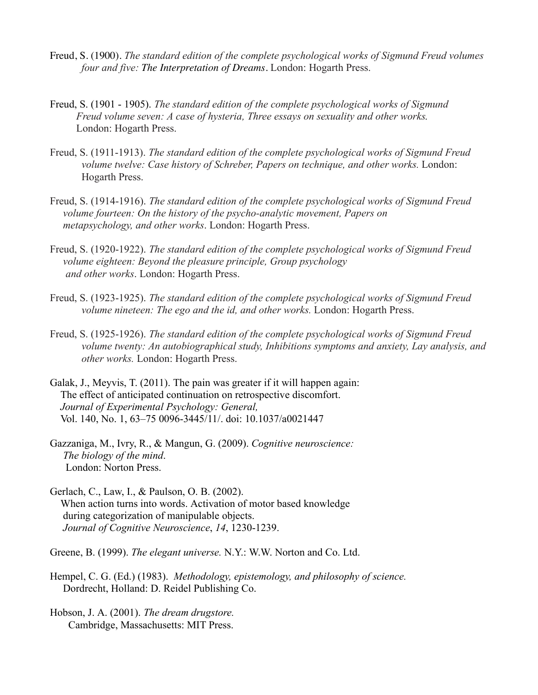- Freud, S. (1900). *The standard edition of the complete psychological works of Sigmund Freud volumes four and five: The Interpretation of Dreams*. London: Hogarth Press.
- Freud, S. (1901 1905). *The standard edition of the complete psychological works of Sigmund Freud volume seven: A case of hysteria, Three essays on sexuality and other works.* London: Hogarth Press.
- Freud, S. (1911-1913). *The standard edition of the complete psychological works of Sigmund Freud volume twelve: Case history of Schreber, Papers on technique, and other works. London:* Hogarth Press.
- Freud, S. (1914-1916). *The standard edition of the complete psychological works of Sigmund Freud volume fourteen: On the history of the psycho-analytic movement, Papers on metapsychology, and other works*. London: Hogarth Press.
- Freud, S. (1920-1922). *The standard edition of the complete psychological works of Sigmund Freud volume eighteen: Beyond the pleasure principle, Group psychology and other works*. London: Hogarth Press.
- Freud, S. (1923-1925). *The standard edition of the complete psychological works of Sigmund Freud volume nineteen: The ego and the id, and other works.* London: Hogarth Press.
- Freud, S. (1925-1926). *The standard edition of the complete psychological works of Sigmund Freud volume twenty: An autobiographical study, Inhibitions symptoms and anxiety, Lay analysis, and other works.* London: Hogarth Press.
- Galak, J., Meyvis, T. (2011). The pain was greater if it will happen again: The effect of anticipated continuation on retrospective discomfort. *Journal of Experimental Psychology: General,* Vol. 140, No. 1, 63–75 0096-3445/11/. doi: 10.1037/a0021447
- Gazzaniga, M., Ivry, R., & Mangun, G. (2009). *Cognitive neuroscience: The biology of the mind*. London: Norton Press.
- Gerlach, C., Law, I., & Paulson, O. B. (2002). When action turns into words. Activation of motor based knowledge during categorization of manipulable objects. *Journal of Cognitive Neuroscience*, *14*, 1230-1239.
- Greene, B. (1999). *The elegant universe.* N.Y.: W.W. Norton and Co. Ltd.
- Hempel, C. G. (Ed.) (1983). *Methodology, epistemology, and philosophy of science.* Dordrecht, Holland: D. Reidel Publishing Co.
- Hobson, J. A. (2001). *The dream drugstore.* Cambridge, Massachusetts: MIT Press.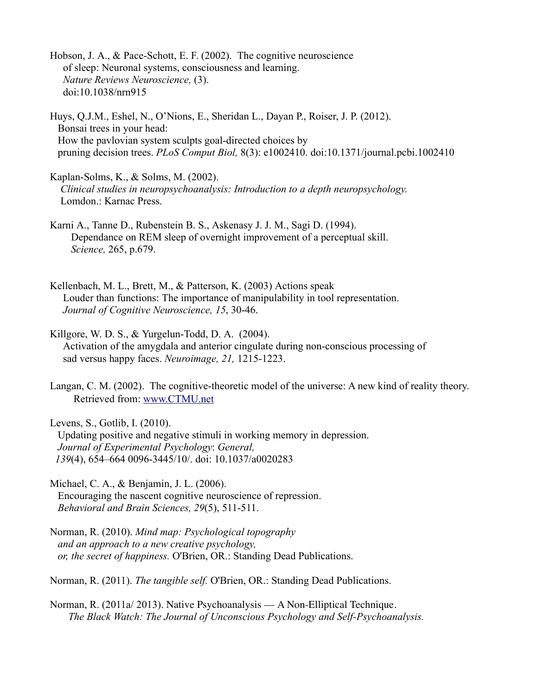Hobson, J. A., & Pace-Schott, E. F. (2002). The cognitive neuroscience of sleep: Neuronal systems, consciousness and learning. *Nature Reviews Neuroscience,* (3). doi:10.1038/nrn915

Huys, Q.J.M., Eshel, N., O'Nions, E., Sheridan L., Dayan P., Roiser, J. P. (2012). Bonsai trees in your head: How the pavlovian system sculpts goal-directed choices by pruning decision trees. *PLoS Comput Biol,* 8(3): e1002410. doi:10.1371/journal.pcbi.1002410

Kaplan-Solms, K., & Solms, M. (2002). *Clinical studies in neuropsychoanalysis: Introduction to a depth neuropsychology.* Lomdon.: Karnac Press.

Karni A., Tanne D., Rubenstein B. S., Askenasy J. J. M., Sagi D. (1994). Dependance on REM sleep of overnight improvement of a perceptual skill. *Science,* 265, p.679.

Kellenbach, M. L., Brett, M., & Patterson, K. (2003) Actions speak Louder than functions: The importance of manipulability in tool representation. *Journal of Cognitive Neuroscience, 15*, 30-46.

Killgore, W. D. S., & Yurgelun-Todd, D. A. (2004). Activation of the amygdala and anterior cingulate during non-conscious processing of sad versus happy faces. *Neuroimage, 21,* 1215-1223.

Langan, C. M. (2002). The cognitive-theoretic model of the universe: A new kind of reality theory. Retrieved from: [www.CTMU.net](http://www.CTMU.net/)

Levens, S., Gotlib, I. (2010). Updating positive and negative stimuli in working memory in depression.  *Journal of Experimental Psychology*: *General, 139*(4), 654–664 0096-3445/10/. doi: 10.1037/a0020283

Michael, C. A., & Benjamin, J. L. (2006). Encouraging the nascent cognitive neuroscience of repression. *Behavioral and Brain Sciences, 29*(5), 511-511.

Norman, R. (2010). *Mind map: Psychological topography and an approach to a new creative psychology, or, the secret of happiness.* O'Brien, OR.: Standing Dead Publications.

Norman, R. (2011). *The tangible self.* O'Brien, OR.: Standing Dead Publications.

Norman, R. (2011a/ 2013). Native Psychoanalysis –– A Non-Elliptical Technique.  *The Black Watch: The Journal of Unconscious Psychology and Self-Psychoanalysis.*